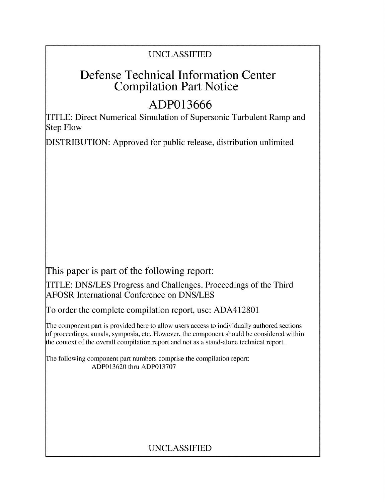## UNCLASSIFIED

# **Defense Technical Information Center Compilation Part Notice**

# **ADP013666**

TITLE: Direct Numerical Simulation of Supersonic Turbulent Ramp and Step Flow

**DISTRIBUTION:** Approved for public release, distribution unlimited

This paper is part of the following report:

TITLE: DNS/LES Progress and Challenges. Proceedings of the Third AFOSR International Conference on DNS/LES

To order the complete compilation report, use: ADA412801

The component part is provided here to allow users access to individually authored sections f proceedings, annals, symposia, etc. However, the component should be considered within the context of the overall compilation report and not as a stand-alone technical report.

The following component part numbers comprise the compilation report: ADP013620 thru ADP013707

## UNCLASSIFIED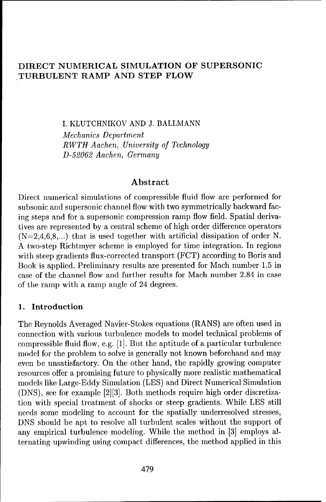### **DIRECT NUMERICAL SIMULATION OF SUPERSONIC .TURBULENT RAMP AND STEP FLOW**

I. KLUTCHNIKOV AND J. BALLMANN

*Mechanics Department RWTH Aachen, University of Technology D-52062 Aachen, Germany*

#### **Abstract**

Direct numerical simulations of compressible fluid flow are performed for subsonic and supersonic channel flow with two symmetrically backward facing steps and for a supersonic compression ramp flow field. Spatial derivatives are represented by a central scheme of high order difference operators  $(N=2,4,6,8,...)$  that is used together with artificial dissipation of order N. A two-step Richtmyer scheme is employed for time integration. In regions with steep gradients flux-corrected transport (FCT) according to Boris and Book is applied. Preliminary results are presented for Mach number 1.5 in case of the channel flow and further results for Mach number 2.84 in case of the ramp with a ramp angle of 24 degrees.

#### 1. Introduction

The Reynolds Averaged Navier-Stokes equations (RANS) are often used in connection with various turbulence models to model technical problems of compressible fluid flow, e.g. [1]. But the aptitude of a particular turbulence model for the problem to solve is generally not known beforehand and may even be unsatisfactory. On the other hand, the rapidly growing computer resources offer a promising future to physically more realistic mathematical models like Large-Eddy Simulation (LES) and Direct Numerical Simulation (DNS), see for example [2][3]. Both methods require high order discretization with special treatment of shocks or steep gradients. While LES still needs some modeling to account for the spatially underresolved stresses, DNS should be apt to resolve all turbulent scales without the support of any empirical turbulence modeling. While the method in [3] employs alternating upwinding using compact differences, the method applied in this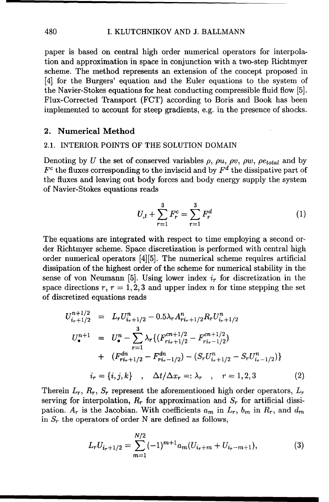#### 480 I. KLUTCHNIKOV AND J. BALLMANN

paper is based on central high order numerical operators for interpolation and approximation in space in conjunction with a two-step Richtmyer scheme. The method represents an extension of the concept proposed in [4] for the Burgers' equation and the Euler equations to the system of the Navier-Stokes equations for heat conducting compressible fluid flow [5]. Flux-Corrected Transport (FCT) according to Boris and Book has been implemented to account for steep gradients, e.g. in the presence of shocks.

#### 2. Numerical Method

#### 2.1. INTERIOR POINTS OF THE SOLUTION DOMAIN

Denoting by *U* the set of conserved variables  $\rho$ ,  $\rho u$ ,  $\rho v$ ,  $\rho w$ ,  $\rho e_{total}$  and by  $F<sup>c</sup>$  the fluxes corresponding to the inviscid and by  $F<sup>d</sup>$  the dissipative part of the fluxes and leaving out body forces and body energy supply the system of Navier-Stokes equations reads

$$
U_{,t} + \sum_{r=1}^{3} F_r^c = \sum_{r=1}^{3} F_r^d
$$
 (1)

The equations are integrated with respect to time employing a second order Richtmyer scheme. Space discretization is performed with central high order numerical operators [4][5]. The numerical scheme requires artificial dissipation of the highest order of the scheme for numerical stability in the sense of von Neumann [5]. Using lower index  $i<sub>r</sub>$  for discretization in the space directions  $r, r = 1, 2, 3$  and upper index *n* for time stepping the set of discretized equations reads

$$
U_{i_{r}+1/2}^{n+1/2} = L_r U_{i_{r}+1/2}^n - 0.5\lambda_r A_{ri_{r}+1/2}^n R_r U_{i_{r}+1/2}^n
$$
  
\n
$$
U_{\bullet}^{n+1} = U_{\bullet}^n - \sum_{r=1}^3 \lambda_r \{ (F_{ri_{r}+1/2}^{cn+1/2} - F_{ri_{r}-1/2}^{cn+1/2})
$$
  
\n+  $(F_{ri_{r}+1/2}^{dn} - F_{ri_{r}-1/2}^{dn}) - (S_r U_{i_{r}+1/2}^n - S_r U_{i_{r}-1/2}^n) \}$   
\n
$$
i_r = \{i, j, k\} , \Delta t / \Delta x_r =: \lambda_r , r = 1, 2, 3
$$
 (2)

Therein  $L_r$ ,  $R_r$ ,  $S_r$  represent the aforementioned high order operators,  $L_r$ serving for interpolation,  $R_r$  for approximation and  $S_r$  for artificial dissipation.  $A_r$  is the Jacobian. With coefficients  $a_m$  in  $L_r$ ,  $b_m$  in  $R_r$ , and  $d_m$ in *S,* the operators of order N are defined as follows,

$$
L_r U_{i_r+1/2} = \sum_{m=1}^{N/2} (-1)^{m+1} a_m (U_{i_r+m} + U_{i_r-m+1}),
$$
 (3)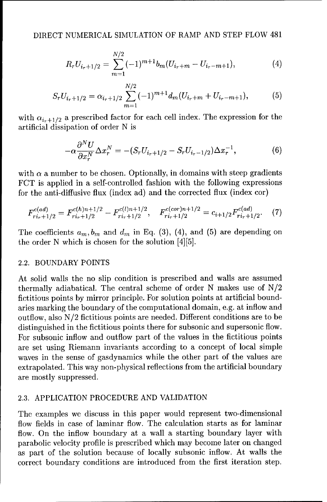$$
R_r U_{i_r+1/2} = \sum_{m=1}^{N/2} (-1)^{m+1} b_m (U_{i_r+m} - U_{i_r-m+1}), \qquad (4)
$$

$$
S_r U_{i_r+1/2} = \alpha_{i_r+1/2} \sum_{m=1}^{N/2} (-1)^{m+1} d_m (U_{i_r+m} + U_{i_r-m+1}), \tag{5}
$$

with  $\alpha_{i+1/2}$  a prescribed factor for each cell index. The expression for the artificial dissipation of order N is

$$
-\alpha \frac{\partial^N U}{\partial x_r^N} \Delta x_r^N = -(S_r U_{i_r+1/2} - S_r U_{i_r-1/2}) \Delta x_r^{-1},\tag{6}
$$

with  $\alpha$  a number to be chosen. Optionally, in domains with steep gradients FCT is applied in a self-controlled fashion with the following expressions for the anti-diffusive flux (index ad) and the corrected flux (index cor)

$$
F_{ri_r+1/2}^{c(ad)} = F_{ri_r+1/2}^{c(h)n+1/2} - F_{ri_r+1/2}^{c(l)n+1/2}, \quad F_{ri_r+1/2}^{c(cor)n+1/2} = c_{i+1/2} F_{ri_r+1/2}^{c(ad)}.
$$
 (7)

The coefficients  $a_m, b_m$  and  $d_m$  in Eq. (3), (4), and (5) are depending on the order N which is chosen for the solution [4][5].

#### 2.2. BOUNDARY POINTS

At solid walls the no slip condition is prescribed and walls are assumed thermally adiabatical. The central scheme of order N makes use of N/2 fictitious points by mirror principle. For solution points at artificial boundaries marking the boundary of the computational domain, e.g. at inflow and outflow, also N/2 fictitious points are needed. Different conditions are to be distinguished in the fictitious points there for subsonic and supersonic flow. For subsonic inflow and outflow part of the values in the fictitious points are set using Riemann invariants according to a concept of local simple waves in the sense of gasdynamics while the other part of the values are extrapolated. This way non-physical reflections from the artificial boundary are mostly suppressed.

#### 2.3. APPLICATION PROCEDURE AND VALIDATION

The examples we discuss in this paper would represent two-dimensional flow fields in case of laminar flow. The calculation starts as for laminar flow. On the inflow boundary at a wall a starting boundary layer with parabolic velocity profile is prescribed which may become later on changed as part of the solution because of locally subsonic inflow. At walls the correct boundary conditions are introduced from the first iteration step.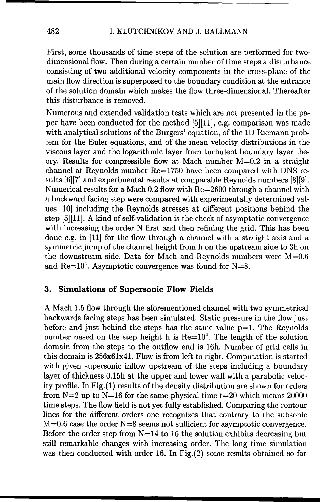First, some thousands of time steps of the solution are performed for twodimensional flow. Then during a certain number of time steps a disturbance consisting of two additional velocity components in the cross-plane of the main flow direction is superposed to the boundary condition at the entrance of the solution domain which makes the flow three-dimensional. Thereafter this disturbance is removed.

Numerous and extended validation tests which are not presented in the paper have been conducted for the method [5][11], e.g. comparison was made with analytical solutions of the Burgers' equation, of the **1D** Riemann problem for the Euler equations, and of the mean velocity distributions in the viscous layer and the logarithmic layer from turbulent boundary layer theory. Results for compressible flow at Mach number M=0.2 in a straight channel at Reynolds number Re=1750 have been compared with DNS results  $[6][7]$  and experimental results at comparable Reynolds numbers  $[8][9]$ . Numerical results for a Mach 0.2 flow with Re=2600 through a channel with a backward facing step were compared with experimentally determined values [10] including the Reynolds stresses at different positions behind the step  $[5][11]$ . A kind of self-validation is the check of asymptotic convergence with increasing the order N first and then refining the grid. This has been done e.g. in [11] for the flow through a channel with a straight axis and a symmetric jump of the channel height from h on the upstream side to 3h on the downstream side. Data for Mach and Reynolds numbers were  $M=0.6$ and Re $=10^4$ . Asymptotic convergence was found for N=8.

#### **3.** Simulations of Supersonic Flow Fields

A Mach 1.5 flow through the aforementioned channel with two symmetrical backwards facing steps has been simulated. Static pressure in the flow just before and just behind the steps has the same value **p=l.** The Reynolds number based on the step height h is  $Re=10<sup>4</sup>$ . The length of the solution domain from the steps to the outflow end is 16h. Number of grid cells in this domain is 256x61x41. Flow is from left to right. Computation is started with given supersonic inflow upstream of the steps including a boundary layer of thickness 0.15h at the upper and lower wall with a parabolic velocity profile. In Fig.(1) results of the density distribution are shown for orders from  $N=2$  up to  $N=16$  for the same physical time  $t=20$  which means 20000 time steps. The flow field is not yet fully established. Comparing the contour lines for the different orders one recognizes that contrary to the subsonic  $M=0.6$  case the order  $N=8$  seems not sufficient for asymptotic convergence. Before the order step from  $N=14$  to 16 the solution exhibits decreasing but still remarkable changes with increasing order. The long time simulation was then conducted with order 16. In Fig.(2) some results obtained so far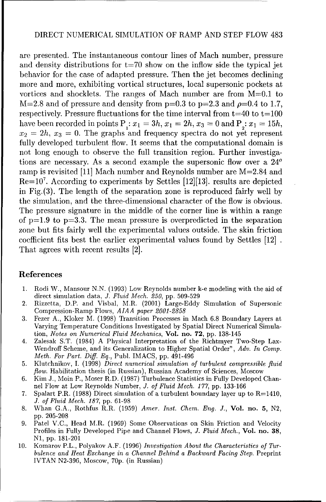#### DIRECT NUMERICAL SIMULATION OF RAMP AND STEP FLOW 483

are presented. The instantaneous contour lines of Mach number, pressure and density distributions for  $t=70$  show on the inflow side the typical jet behavior for the case of adapted pressure. Then the jet becomes declining more and more, exhibiting vortical structures, local supersonic pockets at vortices and shocklets. The ranges of Mach number are from M=0.1 to  $M=2.8$  and of pressure and density from  $p=0.3$  to  $p=2.3$  and  $p=0.4$  to 1.7, respectively. Pressure fluctuations for the time interval from  $t=40$  to  $t=100$ have been recorded in points  $P_1: x_1 = 3h, x_1 = 2h, x_3 = 0$  and  $P_2: x_1 = 15h,$  $x_2 = 2h$ ,  $x_3 = 0$ . The graphs and frequency spectra do not yet represent fully developed turbulent flow. It seems that the computational domain is not long enough to observe the full transition region. Further investigations are necessary. As a second example the supersonic flow over a  $24^{\circ}$ ramp is revisited [11] Mach number and Reynolds number are M=2.84 and  $Re=10^7$ . According to experiments by Settles [12][13]. results are depicted in Fig.(3). The length of the separation zone is reproduced fairly well by the simulation, and the three-dimensional character of the flow is obvious. The pressure signature in the middle of the corner line is within a range of  $p=1.9$  to  $p=3.3$ . The mean pressure is overpredicted in the separation zone but fits fairly well the experimental values outside. The skin friction coefficient fits best the earlier experimental values found by Settles [12] That agrees with recent results [2].

#### References

- 1. Rodi W., Mansour N.N. (1993) Low Reynolds number k-e modeling with the aid of direct simulation data, *J. Fluid Mech. 250,* pp. 509-529
- 2. Rizzetta, D.P. and Visbal, MR. (2001) Large-Eddy Simulation of Supersonic Compression-Ramp Flows, *AIAA paper 2001-2858*
- 3. Fezer A., Kloker M. (1998) Transition Processes in Mach 6.8 Boundary Layers at Varying Temperature Conditions Investigated by Spatial Direct Numerical Simulation, *Notes* on *Numerical Fluid Mechanics,* Vol. no. 72, pp. 138-145
- 4. Zalesak S.T. (1984) A Physical Interpretation of the Richtmyer Two-Step Lax-Wendroff Scheme, and its Generalization to Higher Spatial Order", *Adv. In Comp. Meth. For Part. Diff. Eq.,* Publ. IMACS, pp. 491-496
- 5. Klutchnikov, I. (1998) *Direct numerical simulation of turbulent compressible fluid* flow. Habilitation thesis (in Russian), Russian Academy of Sciences, Moscow
- 6. Kim J., Moin P., Moser R.D. (1987) Turbulence Statistics in Fully Developed Channel Flow at Low Reynolds Number, *J. of Fluid Mech. 177,* pp. 133-166
- 7. Spalart P.R. (1988) Direct simulation of a turbulent boundary layer up to  $R=1410$ , *J. of Fluid Mech. 187,* pp. 61-98
- 8. Whan G.A., Rothfus R.R. (1959) *Amer. Inst. Chem. Eng. J.,* Vol. no. **5,** N2, pp. 205-208
- 9. Patel V.C., Head M.R. (1969) Some Observations on Skin Friction and Velocity Profiles in Fully Developed Pipe and Channel Flows, *J. Fluid Mech.,* Vol. no. **38, N1,** pp. 181-201
- 10. Komarov P.L., Polyakov A.F. (1996) *Investigation About the Characteristics of Turbulence and Heat Exchange in a Channel Behind a Backward Facing Step.* Preprint IVTAN N2-396, Moscow, 70p. (in Russian)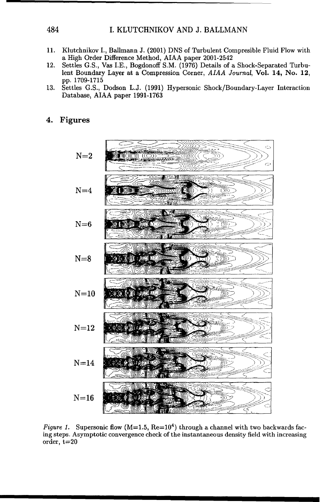#### 484 I. KLUTCHNIKOV AND J. BALLMANN

- 11. Klutchnikov I., Ballmann J. (2001) DNS of Turbulent Compresible Fluid Flow with a High Order Difference Method, AIAA paper 2001-2542
- 12. Settles G.S., Vas I.E., Bogdonoff S.M. (1976) Details of a Shock-Separated Turbulent Boundary Layer at a Compression Corner, *AIAA Journal,* Vol. 14, No. 12, pp. 1709-1715
- 13. Settles G.S., Dodson L.J. (1991) Hypersonic Shock/Boundary-Layer Interaction Database, AIAA paper 1991-1763

#### 4. Figures



*Figure 1.* Supersonic flow  $(M=1.5, Re=10<sup>4</sup>)$  through a channel with two backwards facing steps. Asymptotic convergence check of the instantaneous density field with increasing order, t=20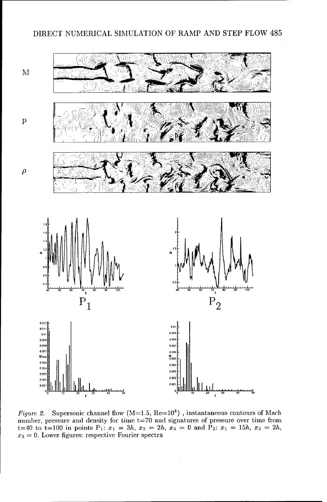#### DIRECT **NUMERICAL SIMULATION** OF RAMP **AND STEP** FLOW 485



*Figure 2.* Supersonic channel flow  $(M=1.5, Re=10^4)$  , instantaneous contours of Mach number, pressure and density for time t=70 and signatures of pressure over time from  $x_1 = 40$  to  $t=100$  in points  $P_1$ :  $x_1 = 3h$ ,  $x_2 = 2h$ ,  $x_3 = 0$  and  $P_2$ :  $x_1 = 15h$ ,  $x_2 = 2h$ ,  $x_3 = 0$ . Lower figures: respective Fourier spectra